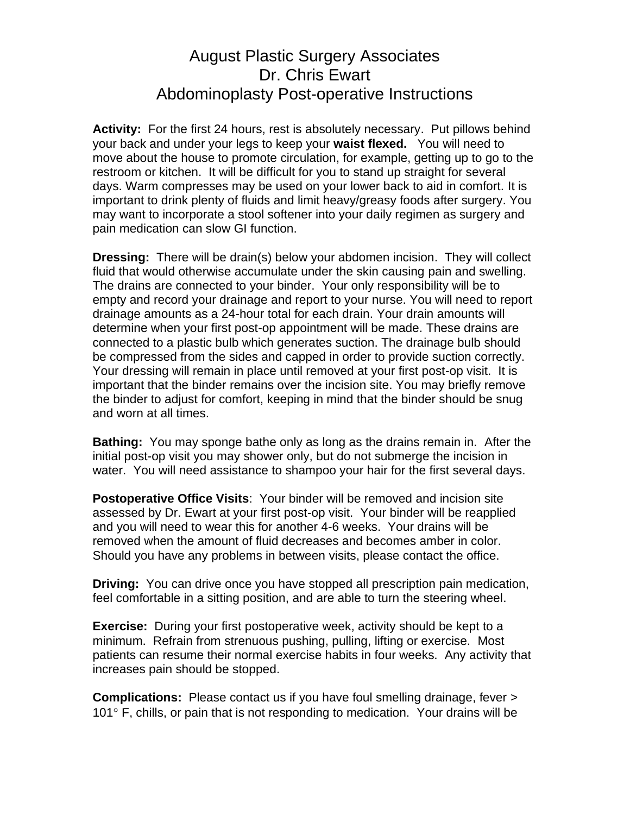## August Plastic Surgery Associates Dr. Chris Ewart Abdominoplasty Post-operative Instructions

**Activity:** For the first 24 hours, rest is absolutely necessary. Put pillows behind your back and under your legs to keep your **waist flexed.** You will need to move about the house to promote circulation, for example, getting up to go to the restroom or kitchen. It will be difficult for you to stand up straight for several days. Warm compresses may be used on your lower back to aid in comfort. It is important to drink plenty of fluids and limit heavy/greasy foods after surgery. You may want to incorporate a stool softener into your daily regimen as surgery and pain medication can slow GI function.

**Dressing:** There will be drain(s) below your abdomen incision. They will collect fluid that would otherwise accumulate under the skin causing pain and swelling. The drains are connected to your binder. Your only responsibility will be to empty and record your drainage and report to your nurse. You will need to report drainage amounts as a 24-hour total for each drain. Your drain amounts will determine when your first post-op appointment will be made. These drains are connected to a plastic bulb which generates suction. The drainage bulb should be compressed from the sides and capped in order to provide suction correctly. Your dressing will remain in place until removed at your first post-op visit. It is important that the binder remains over the incision site. You may briefly remove the binder to adjust for comfort, keeping in mind that the binder should be snug and worn at all times.

**Bathing:** You may sponge bathe only as long as the drains remain in. After the initial post-op visit you may shower only, but do not submerge the incision in water. You will need assistance to shampoo your hair for the first several days.

**Postoperative Office Visits**: Your binder will be removed and incision site assessed by Dr. Ewart at your first post-op visit. Your binder will be reapplied and you will need to wear this for another 4-6 weeks. Your drains will be removed when the amount of fluid decreases and becomes amber in color. Should you have any problems in between visits, please contact the office.

**Driving:** You can drive once you have stopped all prescription pain medication, feel comfortable in a sitting position, and are able to turn the steering wheel.

**Exercise:** During your first postoperative week, activity should be kept to a minimum. Refrain from strenuous pushing, pulling, lifting or exercise. Most patients can resume their normal exercise habits in four weeks. Any activity that increases pain should be stopped.

**Complications:** Please contact us if you have foul smelling drainage, fever > 101 $\degree$  F, chills, or pain that is not responding to medication. Your drains will be